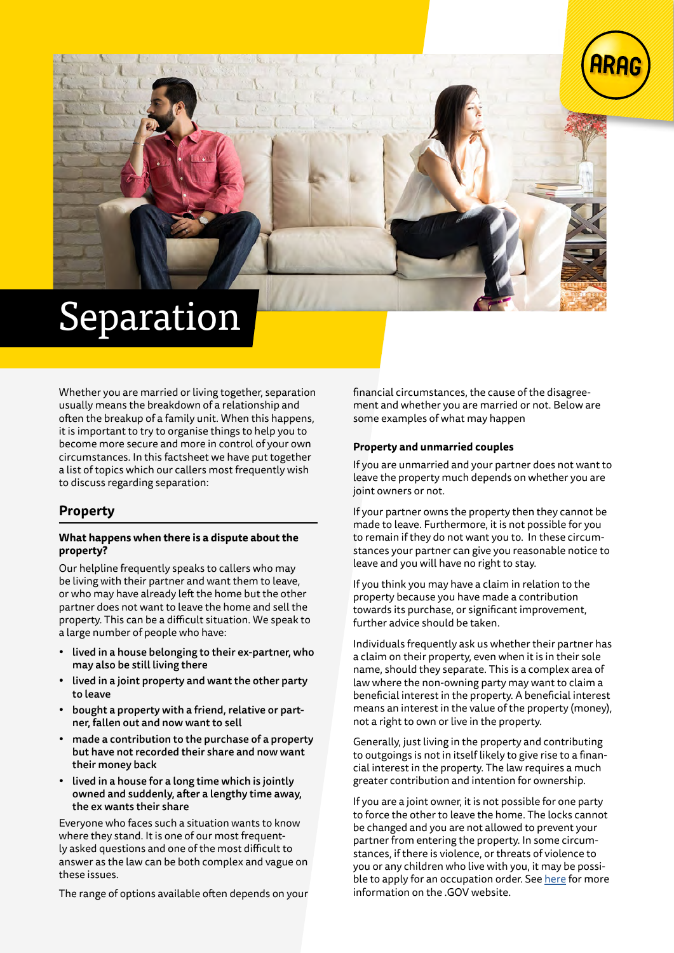

# Separation

Whether you are married or living together, separation usually means the breakdown of a relationship and often the breakup of a family unit. When this happens, it is important to try to organise things to help you to become more secure and more in control of your own circumstances. In this factsheet we have put together a list of topics which our callers most frequently wish to discuss regarding separation:

# **Property**

#### **What happens when there is a dispute about the property?**

Our helpline frequently speaks to callers who may be living with their partner and want them to leave, or who may have already left the home but the other partner does not want to leave the home and sell the property. This can be a difficult situation. We speak to a large number of people who have:

- lived in a house belonging to their ex-partner, who may also be still living there
- lived in a joint property and want the other party to leave
- bought a property with a friend, relative or partner, fallen out and now want to sell
- made a contribution to the purchase of a property but have not recorded their share and now want their money back
- lived in a house for a long time which is jointly owned and suddenly, after a lengthy time away, the ex wants their share

Everyone who faces such a situation wants to know where they stand. It is one of our most frequently asked questions and one of the most difficult to answer as the law can be both complex and vague on these issues.

The range of options available often depends on your

financial circumstances, the cause of the disagreement and whether you are married or not. Below are some examples of what may happen

#### **Property and unmarried couples**

If you are unmarried and your partner does not want to leave the property much depends on whether you are joint owners or not.

If your partner owns the property then they cannot be made to leave. Furthermore, it is not possible for you to remain if they do not want you to. In these circumstances your partner can give you reasonable notice to leave and you will have no right to stay.

If you think you may have a claim in relation to the property because you have made a contribution towards its purchase, or significant improvement, further advice should be taken.

Individuals frequently ask us whether their partner has a claim on their property, even when it is in their sole name, should they separate. This is a complex area of law where the non-owning party may want to claim a beneficial interest in the property. A beneficial interest means an interest in the value of the property (money), not a right to own or live in the property.

Generally, just living in the property and contributing to outgoings is not in itself likely to give rise to a financial interest in the property. The law requires a much greater contribution and intention for ownership.

If you are a joint owner, it is not possible for one party to force the other to leave the home. The locks cannot be changed and you are not allowed to prevent your partner from entering the property. In some circumstances, if there is violence, or threats of violence to you or any children who live with you, it may be possible to apply for an occupation order. See [here](https://www.gov.uk/injunction-domestic-violence/eligibility-occupation) for more information on the .GOV website.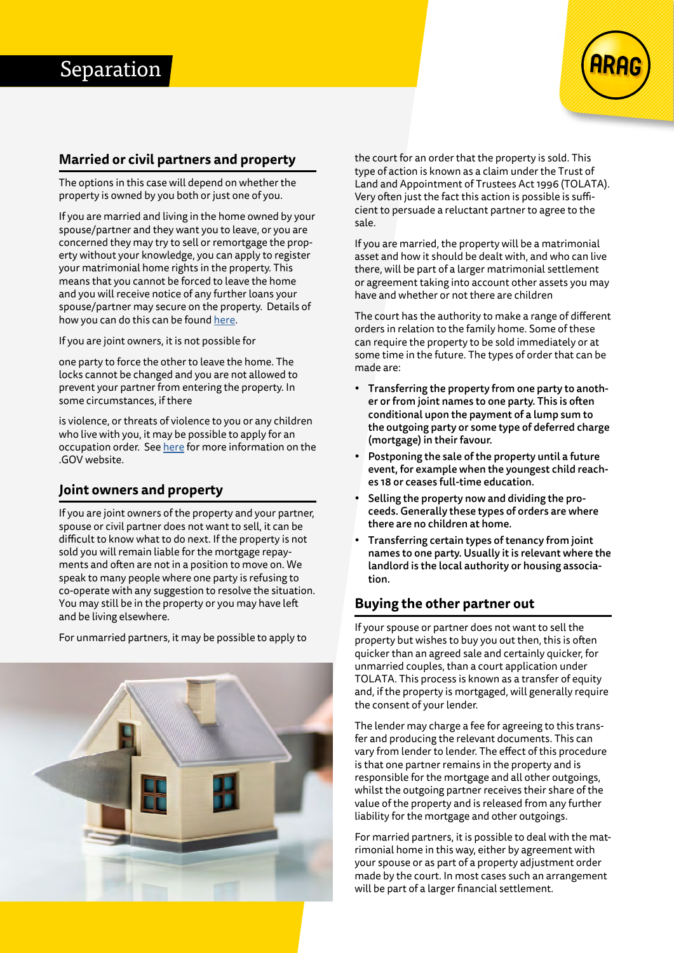

## **Married or civil partners and property**

The options in this case will depend on whether the property is owned by you both or just one of you.

If you are married and living in the home owned by your spouse/partner and they want you to leave, or you are concerned they may try to sell or remortgage the property without your knowledge, you can apply to register your matrimonial home rights in the property. This means that you cannot be forced to leave the home and you will receive notice of any further loans your spouse/partner may secure on the property. Details of how you can do this can be found [here.](https://www.gov.uk/stay-in-home-during-separation-or-divorce)

If you are joint owners, it is not possible for

one party to force the other to leave the home. The locks cannot be changed and you are not allowed to prevent your partner from entering the property. In some circumstances, if there

is violence, or threats of violence to you or any children who live with you, it may be possible to apply for an occupation order. See [here](https://www.gov.uk/injunction-domestic-violence/eligibility-occupation) for more information on the .GOV website.

# **Joint owners and property**

If you are joint owners of the property and your partner, spouse or civil partner does not want to sell, it can be difficult to know what to do next. If the property is not sold you will remain liable for the mortgage repayments and often are not in a position to move on. We speak to many people where one party is refusing to co-operate with any suggestion to resolve the situation. You may still be in the property or you may have left and be living elsewhere.

For unmarried partners, it may be possible to apply to



the court for an order that the property is sold. This type of action is known as a claim under the Trust of Land and Appointment of Trustees Act 1996 (TOLATA). Very often just the fact this action is possible is sufficient to persuade a reluctant partner to agree to the sale.

If you are married, the property will be a matrimonial asset and how it should be dealt with, and who can live there, will be part of a larger matrimonial settlement or agreement taking into account other assets you may have and whether or not there are children

The court has the authority to make a range of different orders in relation to the family home. Some of these can require the property to be sold immediately or at some time in the future. The types of order that can be made are:

- Transferring the property from one party to another or from joint names to one party. This is often conditional upon the payment of a lump sum to the outgoing party or some type of deferred charge (mortgage) in their favour.
- Postponing the sale of the property until a future event, for example when the youngest child reaches 18 or ceases full-time education.
- Selling the property now and dividing the proceeds. Generally these types of orders are where there are no children at home.
- Transferring certain types of tenancy from joint names to one party. Usually it is relevant where the landlord is the local authority or housing association.

# **Buying the other partner out**

If your spouse or partner does not want to sell the property but wishes to buy you out then, this is often quicker than an agreed sale and certainly quicker, for unmarried couples, than a court application under TOLATA. This process is known as a transfer of equity and, if the property is mortgaged, will generally require the consent of your lender.

The lender may charge a fee for agreeing to this transfer and producing the relevant documents. This can vary from lender to lender. The effect of this procedure is that one partner remains in the property and is responsible for the mortgage and all other outgoings, whilst the outgoing partner receives their share of the value of the property and is released from any further liability for the mortgage and other outgoings.

For married partners, it is possible to deal with the matrimonial home in this way, either by agreement with your spouse or as part of a property adjustment order made by the court. In most cases such an arrangement will be part of a larger financial settlement.